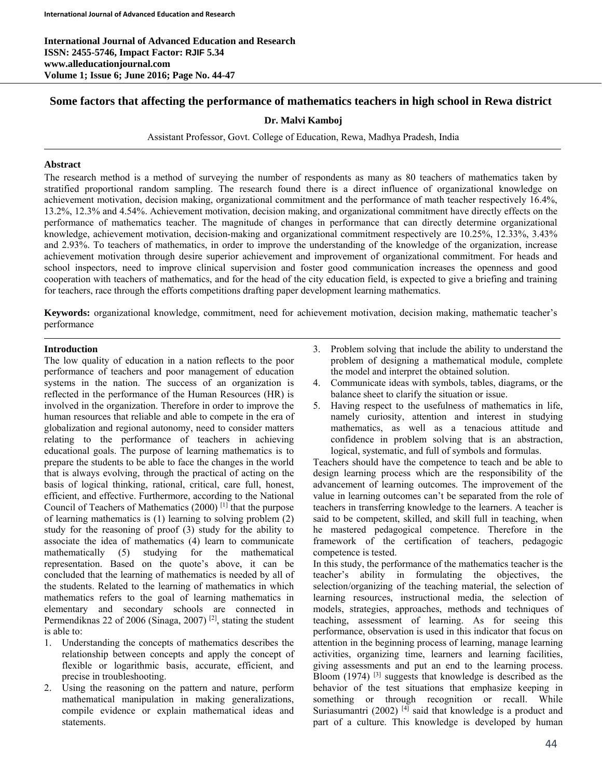**International Journal of Advanced Education and Research ISSN: 2455-5746, Impact Factor: RJIF 5.34 www.alleducationjournal.com Volume 1; Issue 6; June 2016; Page No. 44-47** 

# **Some factors that affecting the performance of mathematics teachers in high school in Rewa district**

### **Dr. Malvi Kamboj**

Assistant Professor, Govt. College of Education, Rewa, Madhya Pradesh, India

#### **Abstract**

The research method is a method of surveying the number of respondents as many as 80 teachers of mathematics taken by stratified proportional random sampling. The research found there is a direct influence of organizational knowledge on achievement motivation, decision making, organizational commitment and the performance of math teacher respectively 16.4%, 13.2%, 12.3% and 4.54%. Achievement motivation, decision making, and organizational commitment have directly effects on the performance of mathematics teacher. The magnitude of changes in performance that can directly determine organizational knowledge, achievement motivation, decision-making and organizational commitment respectively are 10.25%, 12.33%, 3.43% and 2.93%. To teachers of mathematics, in order to improve the understanding of the knowledge of the organization, increase achievement motivation through desire superior achievement and improvement of organizational commitment. For heads and school inspectors, need to improve clinical supervision and foster good communication increases the openness and good cooperation with teachers of mathematics, and for the head of the city education field, is expected to give a briefing and training for teachers, race through the efforts competitions drafting paper development learning mathematics.

**Keywords:** organizational knowledge, commitment, need for achievement motivation, decision making, mathematic teacher's performance

#### **Introduction**

The low quality of education in a nation reflects to the poor performance of teachers and poor management of education systems in the nation. The success of an organization is reflected in the performance of the Human Resources (HR) is involved in the organization. Therefore in order to improve the human resources that reliable and able to compete in the era of globalization and regional autonomy, need to consider matters relating to the performance of teachers in achieving educational goals. The purpose of learning mathematics is to prepare the students to be able to face the changes in the world that is always evolving, through the practical of acting on the basis of logical thinking, rational, critical, care full, honest, efficient, and effective. Furthermore, according to the National Council of Teachers of Mathematics (2000) [1] that the purpose of learning mathematics is (1) learning to solving problem (2) study for the reasoning of proof (3) study for the ability to associate the idea of mathematics (4) learn to communicate mathematically (5) studying for the mathematical representation. Based on the quote's above, it can be concluded that the learning of mathematics is needed by all of the students. Related to the learning of mathematics in which mathematics refers to the goal of learning mathematics in elementary and secondary schools are connected in Permendiknas 22 of 2006 (Sinaga, 2007) [2], stating the student is able to:

- 1. Understanding the concepts of mathematics describes the relationship between concepts and apply the concept of flexible or logarithmic basis, accurate, efficient, and precise in troubleshooting.
- 2. Using the reasoning on the pattern and nature, perform mathematical manipulation in making generalizations, compile evidence or explain mathematical ideas and statements.
- 3. Problem solving that include the ability to understand the problem of designing a mathematical module, complete the model and interpret the obtained solution.
- 4. Communicate ideas with symbols, tables, diagrams, or the balance sheet to clarify the situation or issue.
- 5. Having respect to the usefulness of mathematics in life, namely curiosity, attention and interest in studying mathematics, as well as a tenacious attitude and confidence in problem solving that is an abstraction, logical, systematic, and full of symbols and formulas.

Teachers should have the competence to teach and be able to design learning process which are the responsibility of the advancement of learning outcomes. The improvement of the value in learning outcomes can't be separated from the role of teachers in transferring knowledge to the learners. A teacher is said to be competent, skilled, and skill full in teaching, when he mastered pedagogical competence. Therefore in the framework of the certification of teachers, pedagogic competence is tested.

In this study, the performance of the mathematics teacher is the teacher's ability in formulating the objectives, the selection/organizing of the teaching material, the selection of learning resources, instructional media, the selection of models, strategies, approaches, methods and techniques of teaching, assessment of learning. As for seeing this performance, observation is used in this indicator that focus on attention in the beginning process of learning, manage learning activities, organizing time, learners and learning facilities, giving assessments and put an end to the learning process. Bloom  $(1974)$  <sup>[3]</sup> suggests that knowledge is described as the behavior of the test situations that emphasize keeping in something or through recognition or recall. While Suriasumantri (2002)  $[4]$  said that knowledge is a product and part of a culture. This knowledge is developed by human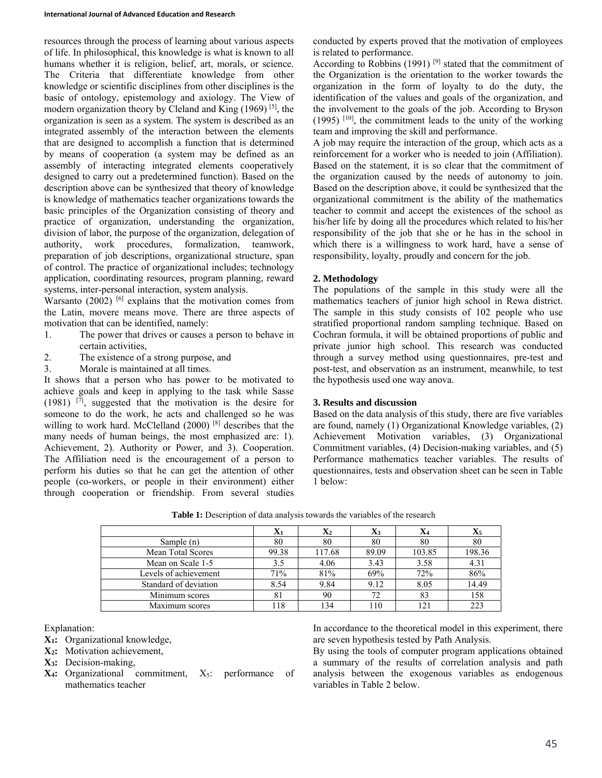resources through the process of learning about various aspects of life. In philosophical, this knowledge is what is known to all humans whether it is religion, belief, art, morals, or science. The Criteria that differentiate knowledge from other knowledge or scientific disciplines from other disciplines is the basic of ontology, epistemology and axiology. The View of modern organization theory by Cleland and King (1969) [5], the organization is seen as a system. The system is described as an integrated assembly of the interaction between the elements that are designed to accomplish a function that is determined by means of cooperation (a system may be defined as an assembly of interacting integrated elements cooperatively designed to carry out a predetermined function). Based on the description above can be synthesized that theory of knowledge is knowledge of mathematics teacher organizations towards the basic principles of the Organization consisting of theory and practice of organization, understanding the organization, division of labor, the purpose of the organization, delegation of authority, work procedures, formalization, teamwork, preparation of job descriptions, organizational structure, span of control. The practice of organizational includes; technology application, coordinating resources, program planning, reward systems, inter-personal interaction, system analysis.

Warsanto  $(2002)$  <sup>[6]</sup> explains that the motivation comes from the Latin, movere means move. There are three aspects of motivation that can be identified, namely:

- 1. The power that drives or causes a person to behave in certain activities,
- 2. The existence of a strong purpose, and
- 3. Morale is maintained at all times.

It shows that a person who has power to be motivated to achieve goals and keep in applying to the task while Sasse  $(1981)$  <sup>[7]</sup>, suggested that the motivation is the desire for someone to do the work, he acts and challenged so he was willing to work hard. McClelland (2000)<sup>[8]</sup> describes that the many needs of human beings, the most emphasized are: 1). Achievement, 2). Authority or Power, and 3). Cooperation. The Affiliation need is the encouragement of a person to perform his duties so that he can get the attention of other people (co-workers, or people in their environment) either through cooperation or friendship. From several studies

conducted by experts proved that the motivation of employees is related to performance.

According to Robbins (1991)<sup>[9]</sup> stated that the commitment of the Organization is the orientation to the worker towards the organization in the form of loyalty to do the duty, the identification of the values and goals of the organization, and the involvement to the goals of the job. According to Bryson  $(1995)$  [10], the commitment leads to the unity of the working team and improving the skill and performance.

A job may require the interaction of the group, which acts as a reinforcement for a worker who is needed to join (Affiliation). Based on the statement, it is so clear that the commitment of the organization caused by the needs of autonomy to join. Based on the description above, it could be synthesized that the organizational commitment is the ability of the mathematics teacher to commit and accept the existences of the school as his/her life by doing all the procedures which related to his/her responsibility of the job that she or he has in the school in which there is a willingness to work hard, have a sense of responsibility, loyalty, proudly and concern for the job.

## **2. Methodology**

The populations of the sample in this study were all the mathematics teachers of junior high school in Rewa district. The sample in this study consists of 102 people who use stratified proportional random sampling technique. Based on Cochran formula, it will be obtained proportions of public and private junior high school. This research was conducted through a survey method using questionnaires, pre-test and post-test, and observation as an instrument, meanwhile, to test the hypothesis used one way anova.

#### **3. Results and discussion**

Based on the data analysis of this study, there are five variables are found, namely (1) Organizational Knowledge variables, (2) Achievement Motivation variables, (3) Organizational Commitment variables, (4) Decision-making variables, and (5) Performance mathematics teacher variables. The results of questionnaires, tests and observation sheet can be seen in Table 1 below:

| Table 1: Description of data analysis towards the variables of the research |  |
|-----------------------------------------------------------------------------|--|
|-----------------------------------------------------------------------------|--|

|                       | $\mathbf{X}_1$ | $\mathbf{X}_2$ | $\mathbf{X}_3$ | $\mathbf{X}_4$ | $\mathbf{X}_5$ |
|-----------------------|----------------|----------------|----------------|----------------|----------------|
| Sample (n)            | 80             | 80             | 80             | 80             | 80             |
| Mean Total Scores     | 99.38          | 117.68         | 89.09          | 103.85         | 198.36         |
| Mean on Scale 1-5     | 3.5            | 4.06           | 3.43           | 3.58           | 4.31           |
| Levels of achievement | 71%            | 81%            | 69%            | 72%            | 86%            |
| Standard of deviation | 8.54           | 9.84           | 9.12           | 8.05           | 14.49          |
| Minimum scores        | -81            | 90             | 72             | 83             | 158            |
| Maximum scores        | 118            | 134            | 110            | 121            | 223            |

Explanation:

- **X1:** Organizational knowledge,
- **X2:** Motivation achievement,
- **X3:** Decision-making,
- $X_4$ : Organizational commitment,  $X_5$ : performance of mathematics teacher

In accordance to the theoretical model in this experiment, there are seven hypothesis tested by Path Analysis.

By using the tools of computer program applications obtained a summary of the results of correlation analysis and path analysis between the exogenous variables as endogenous variables in Table 2 below.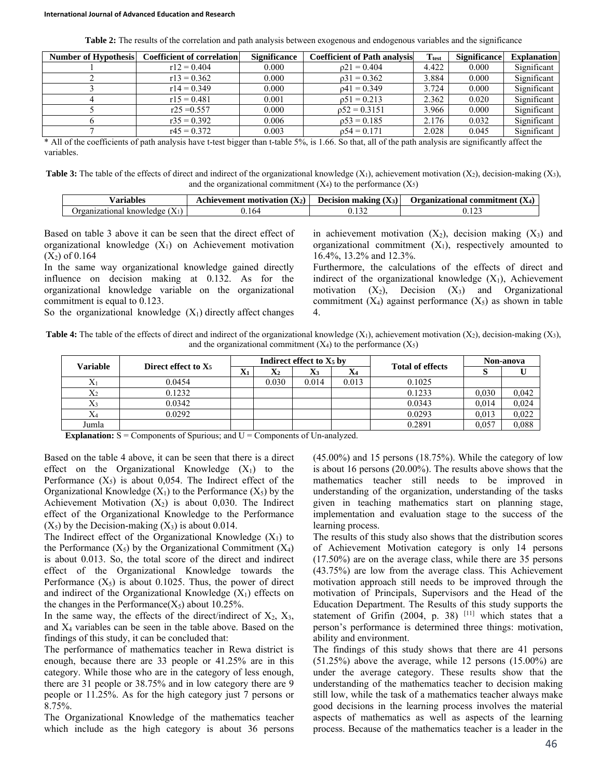| <b>Table 2:</b> The results of the correlation and path analysis between exogenous and endogenous variables and the significance |
|----------------------------------------------------------------------------------------------------------------------------------|
|----------------------------------------------------------------------------------------------------------------------------------|

| Number of Hypothesis | <b>Coefficient of correlation</b> | <b>Significance</b> | <b>Coefficient of Path analysis</b> | <b>T</b> <sub>test</sub> | <b>Significance</b> | <b>Explanation</b> |
|----------------------|-----------------------------------|---------------------|-------------------------------------|--------------------------|---------------------|--------------------|
|                      | $r12 = 0.404$                     | 0.000               | $0.21 = 0.404$                      | 4.422                    | 0.000               | Significant        |
|                      | $r13 = 0.362$                     | 0.000               | $\rho 31 = 0.362$                   | 3.884                    | 0.000               | Significant        |
|                      | $r14 = 0.349$                     | 0.000               | $0.41 = 0.349$                      | 3.724                    | 0.000               | Significant        |
|                      | $r15 = 0.481$                     | 0.001               | $0.51 = 0.213$                      | 2.362                    | 0.020               | Significant        |
|                      | $r25 = 0.557$                     | 0.000               | $0.52 = 0.3151$                     | 3.966                    | 0.000               | Significant        |
|                      | $r35 = 0.392$                     | 0.006               | $p53 = 0.185$                       | 2.176                    | 0.032               | Significant        |
|                      | $r45 = 0.372$                     | 0.003               | $0.54 = 0.171$                      | 2.028                    | 0.045               | Significant        |

\* All of the coefficients of path analysis have t-test bigger than t-table 5%, is 1.66. So that, all of the path analysis are significantly affect the variables.

**Table 3:** The table of the effects of direct and indirect of the organizational knowledge  $(X_1)$ , achievement motivation  $(X_2)$ , decision-making  $(X_3)$ , and the organizational commitment  $(X_4)$  to the performance  $(X_5)$ 

| ⁄ arıables          | $(X_2)$<br>motivation<br>nevement | <b>Decision making</b><br>$(X_3)$ | Urganizational<br>commitment<br>۰Δ4 |
|---------------------|-----------------------------------|-----------------------------------|-------------------------------------|
| tiona.<br>knowledge |                                   |                                   | $\sim$ $\sim$                       |

Based on table 3 above it can be seen that the direct effect of organizational knowledge  $(X_1)$  on Achievement motivation  $(X_2)$  of 0.164

In the same way organizational knowledge gained directly influence on decision making at 0.132. As for the organizational knowledge variable on the organizational commitment is equal to 0.123.

in achievement motivation  $(X_2)$ , decision making  $(X_3)$  and organizational commitment  $(X_1)$ , respectively amounted to 16.4%, 13.2% and 12.3%.

Furthermore, the calculations of the effects of direct and indirect of the organizational knowledge  $(X_1)$ , Achievement motivation  $(X_2)$ , Decision  $(X_3)$  and Organizational commitment  $(X_4)$  against performance  $(X_5)$  as shown in table 4.

So the organizational knowledge  $(X_1)$  directly affect changes

**Table 4:** The table of the effects of direct and indirect of the organizational knowledge  $(X_1)$ , achievement motivation  $(X_2)$ , decision-making  $(X_3)$ , and the organizational commitment  $(X_4)$  to the performance  $(X_5)$ 

| Variable       |                                 |                | Indirect effect to $X_5$ by |            |       |                         |       | Non-anova |
|----------------|---------------------------------|----------------|-----------------------------|------------|-------|-------------------------|-------|-----------|
|                | Direct effect to X <sub>5</sub> | $\mathbf{X}_1$ | $\mathbf{X}_2$              | X3         | $X_4$ | <b>Total of effects</b> | Ø     |           |
| $\Delta$ 1     | 0.0454                          |                | 0.030                       | 0.014      | 0.013 | 0.1025                  |       |           |
| $\rm X_2$      | 0.1232                          |                |                             |            |       | 0.1233                  | 0,030 | 0,042     |
| $\mathrm{X}_3$ | 0.0342                          |                |                             |            |       | 0.0343                  | 0.014 | 0,024     |
| X4             | 0.0292                          |                |                             |            |       | 0.0293                  | 0.013 | 0,022     |
| Jumla          | $\sim$ $\sim$                   |                |                             | $\Delta x$ |       | 0.2891                  | 0,057 | 0,088     |

**Explanation:**  $S =$  Components of Spurious; and  $U =$  Components of Un-analyzed.

Based on the table 4 above, it can be seen that there is a direct effect on the Organizational Knowledge  $(X_1)$  to the Performance  $(X_5)$  is about 0,054. The Indirect effect of the Organizational Knowledge  $(X_1)$  to the Performance  $(X_5)$  by the Achievement Motivation  $(X_2)$  is about 0,030. The Indirect effect of the Organizational Knowledge to the Performance  $(X_5)$  by the Decision-making  $(X_3)$  is about 0.014.

The Indirect effect of the Organizational Knowledge  $(X_1)$  to the Performance  $(X_5)$  by the Organizational Commitment  $(X_4)$ is about 0.013. So, the total score of the direct and indirect effect of the Organizational Knowledge towards the Performance  $(X_5)$  is about 0.1025. Thus, the power of direct and indirect of the Organizational Knowledge  $(X_1)$  effects on the changes in the Performance( $X_5$ ) about 10.25%.

In the same way, the effects of the direct/indirect of  $X_2$ ,  $X_3$ , and  $X_4$  variables can be seen in the table above. Based on the findings of this study, it can be concluded that:

The performance of mathematics teacher in Rewa district is enough, because there are 33 people or 41.25% are in this category. While those who are in the category of less enough, there are 31 people or 38.75% and in low category there are 9 people or 11.25%. As for the high category just 7 persons or 8.75%.

The Organizational Knowledge of the mathematics teacher which include as the high category is about 36 persons (45.00%) and 15 persons (18.75%). While the category of low is about 16 persons (20.00%). The results above shows that the mathematics teacher still needs to be improved in understanding of the organization, understanding of the tasks given in teaching mathematics start on planning stage, implementation and evaluation stage to the success of the learning process.

The results of this study also shows that the distribution scores of Achievement Motivation category is only 14 persons (17.50%) are on the average class, while there are 35 persons (43.75%) are low from the average class. This Achievement motivation approach still needs to be improved through the motivation of Principals, Supervisors and the Head of the Education Department. The Results of this study supports the statement of Grifin  $(2004, p. 38)$ <sup>[11]</sup> which states that a person's performance is determined three things: motivation, ability and environment.

The findings of this study shows that there are 41 persons (51.25%) above the average, while 12 persons (15.00%) are under the average category. These results show that the understanding of the mathematics teacher to decision making still low, while the task of a mathematics teacher always make good decisions in the learning process involves the material aspects of mathematics as well as aspects of the learning process. Because of the mathematics teacher is a leader in the